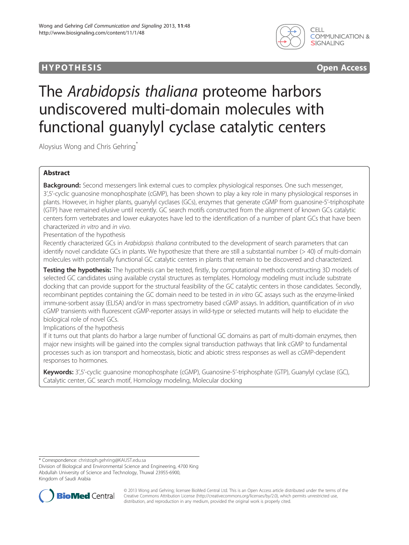## **HYPOTHESIS** Open Access



# The Arabidopsis thaliana proteome harbors undiscovered multi-domain molecules with functional guanylyl cyclase catalytic centers

Aloysius Wong and Chris Gehring\*

## Abstract

Background: Second messengers link external cues to complex physiological responses. One such messenger, 3',5'-cyclic guanosine monophosphate (cGMP), has been shown to play a key role in many physiological responses in plants. However, in higher plants, guanylyl cyclases (GCs), enzymes that generate cGMP from guanosine-5'-triphosphate (GTP) have remained elusive until recently. GC search motifs constructed from the alignment of known GCs catalytic centers form vertebrates and lower eukaryotes have led to the identification of a number of plant GCs that have been characterized in vitro and in vivo.

Presentation of the hypothesis

Recently characterized GCs in Arabidopsis thaliana contributed to the development of search parameters that can identify novel candidate GCs in plants. We hypothesize that there are still a substantial number (> 40) of multi-domain molecules with potentially functional GC catalytic centers in plants that remain to be discovered and characterized.

Testing the hypothesis: The hypothesis can be tested, firstly, by computational methods constructing 3D models of selected GC candidates using available crystal structures as templates. Homology modeling must include substrate docking that can provide support for the structural feasibility of the GC catalytic centers in those candidates. Secondly, recombinant peptides containing the GC domain need to be tested in in vitro GC assays such as the enzyme-linked immune-sorbent assay (ELISA) and/or in mass spectrometry based cGMP assays. In addition, quantification of in vivo cGMP transients with fluorescent cGMP-reporter assays in wild-type or selected mutants will help to elucidate the biological role of novel GCs.

Implications of the hypothesis

If it turns out that plants do harbor a large number of functional GC domains as part of multi-domain enzymes, then major new insights will be gained into the complex signal transduction pathways that link cGMP to fundamental processes such as ion transport and homeostasis, biotic and abiotic stress responses as well as cGMP-dependent responses to hormones.

Keywords: 3',5'-cyclic guanosine monophosphate (cGMP), Guanosine-5'-triphosphate (GTP), Guanylyl cyclase (GC), Catalytic center, GC search motif, Homology modeling, Molecular docking

\* Correspondence: [christoph.gehring@KAUST.edu.sa](mailto:christoph.gehring@KAUST.edu.sa)

Division of Biological and Environmental Science and Engineering, 4700 King Abdullah University of Science and Technology, Thuwal 23955-6900, Kingdom of Saudi Arabia



© 2013 Wong and Gehring; licensee BioMed Central Ltd. This is an Open Access article distributed under the terms of the Creative Commons Attribution License (<http://creativecommons.org/licenses/by/2.0>), which permits unrestricted use, distribution, and reproduction in any medium, provided the original work is properly cited.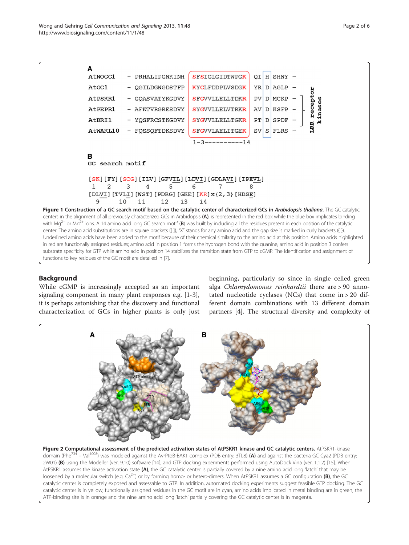<span id="page-1-0"></span>

## Background

While cGMP is increasingly accepted as an important signaling component in many plant responses e.g. [[1-3](#page-4-0)], it is perhaps astonishing that the discovery and functional characterization of GCs in higher plants is only just

beginning, particularly so since in single celled green alga Chlamydomonas reinhardtii there are > 90 annotated nucleotide cyclases (NCs) that come in > 20 different domain combinations with 13 different domain partners [[4](#page-4-0)]. The structural diversity and complexity of

![](_page_1_Figure_6.jpeg)

Figure 2 Computational assessment of the predicted activation states of AtPSKR1 kinase and GC catalytic centers. AtPSKR1-kinase domain (Phe<sup>734</sup> – Val<sup>1008</sup>) was modeled against the AvrPtoB-BAK1 complex (PDB entry: 3TL8) (A) and against the bacteria GC Cya2 (PDB entry: 2W01) (B) using the Modeller (ver. 9.10) software [\[14\]](#page-4-0), and GTP docking experiments performed using AutoDock Vina (ver. 1.1.2) [\[15](#page-4-0)]. When AtPSKR1 assumes the kinase activation state (A), the GC catalytic center is partially covered by a nine amino acid long 'latch' that may be loosened by a molecular switch (e.g.  $Ca^{2+}$ ) or by forming homo- or hetero-dimers. When AtPSKR1 assumes a GC configuration (B), the GC catalytic center is completely exposed and assessable to GTP. In addition, automated docking experiments suggest feasible GTP docking. The GC catalytic center is in yellow, functionally assigned residues in the GC motif are in cyan, amino acids implicated in metal binding are in green, the ATP-binding site is in orange and the nine amino acid long 'latch' partially covering the GC catalytic center is in magenta.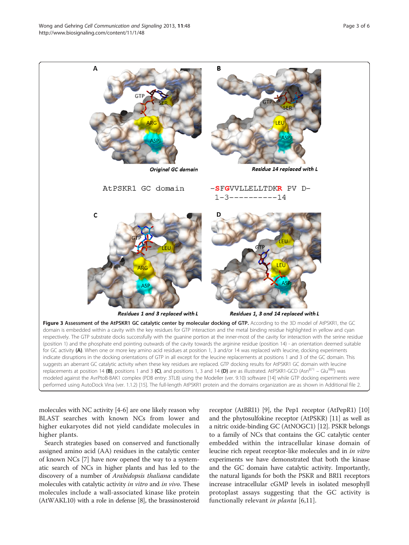<span id="page-2-0"></span>![](_page_2_Figure_2.jpeg)

molecules with NC activity [\[4](#page-4-0)-[6\]](#page-4-0) are one likely reason why BLAST searches with known NCs from lower and higher eukaryotes did not yield candidate molecules in higher plants.

Search strategies based on conserved and functionally assigned amino acid (AA) residues in the catalytic center of known NCs [\[7\]](#page-4-0) have now opened the way to a systematic search of NCs in higher plants and has led to the discovery of a number of Arabidopsis thaliana candidate molecules with catalytic activity *in vitro* and *in vivo*. These molecules include a wall-associated kinase like protein (AtWAKL10) with a role in defense [[8](#page-4-0)], the brassinosteroid

receptor (AtBRI1) [\[9\]](#page-4-0), the Pep1 receptor (AtPepR1) [[10](#page-4-0)] and the phytosulfokine receptor (AtPSKR) [\[11\]](#page-4-0) as well as a nitric oxide-binding GC (AtNOGC1) [\[12](#page-4-0)]. PSKR belongs to a family of NCs that contains the GC catalytic center embedded within the intracellular kinase domain of leucine rich repeat receptor-like molecules and in in vitro experiments we have demonstrated that both the kinase and the GC domain have catalytic activity. Importantly, the natural ligands for both the PSKR and BRI1 receptors increase intracellular cGMP levels in isolated mesophyll protoplast assays suggesting that the GC activity is functionally relevant in planta [\[6](#page-4-0),[11\]](#page-4-0).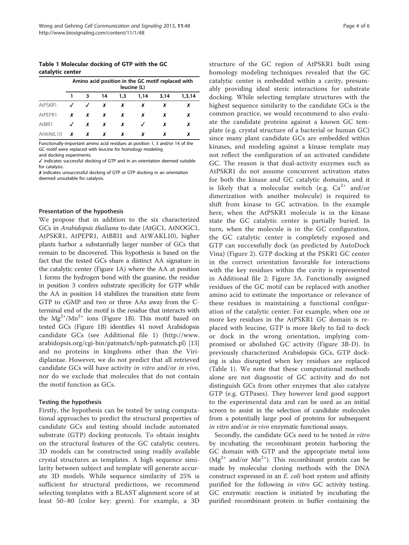Table 1 Molecular docking of GTP with the GC catalytic center

|           | Amino acid position in the GC motif replaced with<br>leucine (L) |   |    |     |      |      |        |
|-----------|------------------------------------------------------------------|---|----|-----|------|------|--------|
|           |                                                                  | 3 | 14 | 1.3 | 1.14 | 3,14 | 1,3,14 |
| AtPSKR1   |                                                                  | J | x  | x   | x    | x    | x      |
| AtPEPR1   | x                                                                | x | x  | x   | x    |      | x      |
| AtBRI1    | $\checkmark$                                                     | x | x  | x   |      |      | x      |
| AtWAKI 10 | x                                                                | x | x  |     | x    |      | x      |

Functionally-important amino acid residues at position 1, 3 and/or 14 of the GC motif were replaced with leucine for homology modeling and docking experiments.

✓ indicates successful docking of GTP and in an orientation deemed suitable for catalysis.

✗ indicates unsuccessful docking of GTP or GTP docking in an orientation deemed unsuitable for catalysis.

#### Presentation of the hypothesis

We propose that in addition to the six characterized GCs in Arabidopsis thaliana to-date (AtGC1, AtNOGC1, AtPSKR1, AtPEPR1, AtBRI1 and AtWAKL10), higher plants harbor a substantially larger number of GCs that remain to be discovered. This hypothesis is based on the fact that the tested GCs share a distinct AA signature in the catalytic center (Figure [1](#page-1-0)A) where the AA at position 1 forms the hydrogen bond with the guanine, the residue in position 3 confers substrate specificity for GTP while the AA in position 14 stabilizes the transition state from GTP to cGMP and two or three AAs away from the Cterminal end of the motif is the residue that interacts with the  $Mg^{2+}/Mn^{2+}$  ions (Figure [1B](#page-1-0)). This motif based on tested GCs (Figure [1](#page-1-0)B) identifies 41 novel Arabidopsis candidate GCs (see Additional file [1](#page-4-0)) [\(http://www.](http://www.arabidopsis.org/cgi-bin/patmatch/nph-patmatch.pl) [arabidopsis.org/cgi-bin/patmatch/nph-patmatch.pl\)](http://www.arabidopsis.org/cgi-bin/patmatch/nph-patmatch.pl) [[13](#page-4-0)] and no proteins in kingdoms other than the Viridiplantae. However, we do not predict that all retrieved candidate GCs will have activity in vitro and/or in vivo, nor do we exclude that molecules that do not contain the motif function as GCs.

#### Testing the hypothesis

Firstly, the hypothesis can be tested by using computational approaches to predict the structural properties of candidate GCs and testing should include automated substrate (GTP) docking protocols. To obtain insights on the structural features of the GC catalytic centers, 3D models can be constructed using readily available crystal structures as templates. A high sequence similarity between subject and template will generate accurate 3D models. While sequence similarity of 25% is sufficient for structural predictions, we recommend selecting templates with a BLAST alignment score of at least 50–80 (color key: green). For example, a 3D

structure of the GC region of AtPSKR1 built using homology modeling techniques revealed that the GC catalytic center is embedded within a cavity, presumably providing ideal steric interactions for substrate docking. While selecting template structures with the highest sequence similarity to the candidate GCs is the common practice, we would recommend to also evaluate the candidate proteins against a known GC template (e.g. crystal structure of a bacterial or human GC) since many plant candidate GCs are embedded within kinases, and modeling against a kinase template may not reflect the configuration of an activated candidate GC. The reason is that dual-activity enzymes such as AtPSKR1 do not assume concurrent activation states for both the kinase and GC catalytic domains, and it is likely that a molecular switch (e.g.  $Ca^{2+}$  and/or dimerization with another molecule) is required to shift from kinase to GC activation. In the example here, when the AtPSKR1 molecule is in the kinase state the GC catalytic center is partially buried. In turn, when the molecule is in the GC configuration, the GC catalytic center is completely exposed and GTP can successfully dock (as predicted by AutoDock Vina) (Figure [2\)](#page-1-0). GTP docking at the PSKR1 GC center in the correct orientation favorable for interactions with the key residues within the cavity is represented in Additional file [2](#page-4-0): Figure [3](#page-2-0)A. Functionally assigned residues of the GC motif can be replaced with another amino acid to estimate the importance or relevance of these residues in maintaining a functional configuration of the catalytic center. For example, when one or more key residues in the AtPSKR1 GC domain is replaced with leucine, GTP is more likely to fail to dock or dock in the wrong orientation, implying compromised or abolished GC activity (Figure [3](#page-2-0)B-D). In previously characterized Arabidopsis GCs, GTP docking is also disrupted when key residues are replaced (Table 1). We note that these computational methods alone are not diagnostic of GC activity and do not distinguish GCs from other enzymes that also catalyze GTP (e.g. GTPases). They however lend good support to the experimental data and can be used as an initial screen to assist in the selection of candidate molecules from a potentially large pool of proteins for subsequent in vitro and/or in vivo enzymatic functional assays.

Secondly, the candidate GCs need to be tested in vitro by incubating the recombinant protein harboring the GC domain with GTP and the appropriate metal ions  $(Mg<sup>2+</sup>$  and/or  $Mn<sup>2+</sup>$ ). This recombinant protein can be made by molecular cloning methods with the DNA construct expressed in an *E. coli* host system and affinity purified for the following *in vitro* GC activity testing. GC enzymatic reaction is initiated by incubating the purified recombinant protein in buffer containing the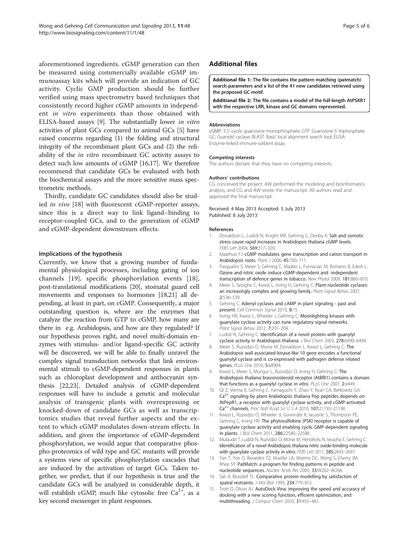<span id="page-4-0"></span>aforementioned ingredients. cGMP generation can then be measured using commercially available cGMP immunoassay kits which will provide an indication of GC activity. Cyclic GMP production should be further verified using mass spectrometry based techniques that consistently record higher cGMP amounts in independent in vitro experiments than those obtained with ELISA-based assays [9]. The substantially lower in vitro activities of plant GCs compared to animal GCs [5] have raised concerns regarding (1) the folding and structural integrity of the recombinant plant GCs and (2) the reliability of the in vitro recombinant GC activity assays to detect such low amounts of cGMP [[16,17\]](#page-5-0). We therefore recommend that candidate GCs be evaluated with both the biochemical assays and the more sensitive mass spectrometric methods.

Thirdly, candidate GC candidates should also be studied in vivo [\[18](#page-5-0)] with fluorescent cGMP-reporter assays, since this is a direct way to link ligand–binding to receptor-coupled GCs, and to the generation of cGMP and cGMP-dependent downstream effects.

#### Implications of the hypothesis

Currently, we know that a growing number of fundamental physiological processes, including gating of ion channels [\[19](#page-5-0)], specific phosphorylation events [\[18](#page-5-0)], post-translational modifications [\[20\]](#page-5-0), stomatal guard cell movements and responses to hormones [[18,21\]](#page-5-0) all depending, at least in part, on cGMP. Consequently, a major outstanding question is, where are the enzymes that catalyze the reaction from GTP to cGMP, how many are there in e.g. Arabidopsis, and how are they regulated? If our hypothesis proves right, and novel multi-domain enzymes with stimulus- and/or ligand-specific GC activity will be discovered, we will be able to finally unravel the complex signal transduction networks that link environmental stimuli to cGMP-dependent responses in plants such as chloroplast development and anthocyanin synthesis [\[22,23](#page-5-0)]. Detailed analysis of cGMP-dependent responses will have to include a genetic and molecular analysis of transgenic plants with overexpressing or knocked-down of candidate GCs as well as transcriptomics studies that reveal further aspects and the extent to which cGMP modulates down-stream effects. In addition, and given the importance of cGMP-dependent phosphorylation, we would argue that comparative phospho-proteomics of wild type and GC mutants will provide a systems view of specific phosphorylation cascades that are induced by the activation of target GCs. Taken together, we predict, that if our hypothesis is true and the candidate GCs will be analyzed in considerable depth, it will establish cGMP, much like cytosolic free  $Ca^{2+}$ , as a key second messenger in plant responses.

## Additional files

[Additional file 1:](http://www.biomedcentral.com/content/supplementary/1478-811X-11-48-S1.pdf) The file contains the pattern matching (patmatch) search parameters and a list of the 41 new candidates retrieved using the proposed GC motif.

[Additional file 2:](http://www.biomedcentral.com/content/supplementary/1478-811X-11-48-S2.pdf) The file contains a model of the full-length AtPSKR1 with the respective LRR, kinase and GC domains represented.

#### Abbreviations

cGMP: 3',5'-cyclic guanosine monophosphate; GTP: Guanosine-5'-triphosphate; GC: Guanylyl cyclase; BLAST: Basic local alignment search tool; ELISA: Enzyme-linked immune-sorbent assay.

#### Competing interests

The authors declare that they have no competing interests.

#### Authors' contributions

CG conceived the project. AW performed the modeling and bioinformatics analysis, and CG and AW wrote the manuscript. All authors read and approved the final manuscript.

#### Received: 4 May 2013 Accepted: 5 July 2013 Published: 8 July 2013

#### References

- 1. Donaldson L, Ludidi N, Knight MR, Gehring C, Denby K: Salt and osmotic stress cause rapid increases in Arabidopsis thaliana cGMP levels. FEBS Lett 2004, 569:317–320.
- 2. Maathuis FJ: cGMP modulates gene transcription and cation transport in Arabidopsis roots. Plant J 2006, 45:700–711.
- 3. Pasqualini S, Meier S, Gehring C, Madeo L, Fornaciari M, Romano B, Ederli L: Ozone and nitric oxide induce cGMP-dependent and -independent transcription of defence genes in tobacco. New Phytol 2009, 181:860–870.
- 4. Meier S, Seoighe C, Kwezi L, Irving H, Gehring C: Plant nucleotide cyclases: an increasingly complex and growing family. Plant Signal Behav 2007, 2:536–539.
- 5. Gehring C: Adenyl cyclases and cAMP in plant signaling past and present. Cell Commun Signal 2010, 8:15.
- Irving HR, Kwezi L, Wheeler J, Gehring C: Moonlighting kinases with guanylate cyclase activity can tune regulatory signal networks. Plant Signal Behav 2012, 7:201–204.
- 7. Ludidi N, Gehring C: Identification of a novel protein with guanylyl cyclase activity in Arabidopsis thaliana. J Biol Chem 2003, 278:6490-6494.
- 8. Meier S, Ruzvidzo O, Morse M, Donaldson L, Kwezi L, Gehring C: The Arabidopsis wall associated kinase-like 10 gene encodes a functional guanylyl cyclase and is co-expressed with pathogen defense related genes. PLoS One 2010, 5:e8904.
- 9. Kwezi L, Meier S, Mungur L, Ruzvidzo O, Irving H, Gehring C: The Arabidopsis thaliana brassinosteroid receptor (AtBRI1) contains a domain that functions as a guanylyl cyclase in vitro. PLoS One 2007, 2:e449.
- 10. Qi Z, Verma R, Gehring C, Yamaguchi Y, Zhao Y, Ryan CA, Berkowitz GA:  $Ca<sup>2+</sup>$  signaling by plant Arabidopsis thaliana Pep peptides depends on AtPepR1, a receptor with guanylyl cyclase activity, and cGMP-activated Ca<sup>2+</sup> channels. Proc Natl Acad Sci U S A 2010, 107:21193-21198.
- 11. Kwezi L, Ruzvidzo O, Wheeler JI, Govender K, Iacuone S, Thompson PE, Gehring C, Irving HR: The phytosulfokine (PSK) receptor is capable of guanylate cyclase activity and enabling cyclic GMP-dependent signaling in plants. J Biol Chem 2011, 286:22580–22588.
- 12. Mulaudzi T, Ludidi N, Ruzvidzo O, Morse M, Hendricks N, Iwuoha E, Gehring C: Identification of a novel Arabidopsis thaliana nitric oxide-binding molecule with guanylate cyclase activity in vitro. FEBS Lett 2011, 585:2693–2697.
- 13. Yan T, Yoo D, Berardini TZ, Mueller LA, Weems DC, Weng S, Cherry JM, Rhee SY: PatMatch: a program for finding patterns in peptide and nucleotide sequences. Nucleic Acids Res 2005, 33:W262–W266.
- 14. Sali A, Blundell TL: Comparative protein modelling by satisfaction of spatial restraints. J Mol Biol 1993, 234:779–815.
- 15. Trott O, Olson AJ: AutoDock Vina: improving the speed and accuracy of docking with a new scoring function, efficient optimization, and multithreading. J Comput Chem 2010, 31:455–461.